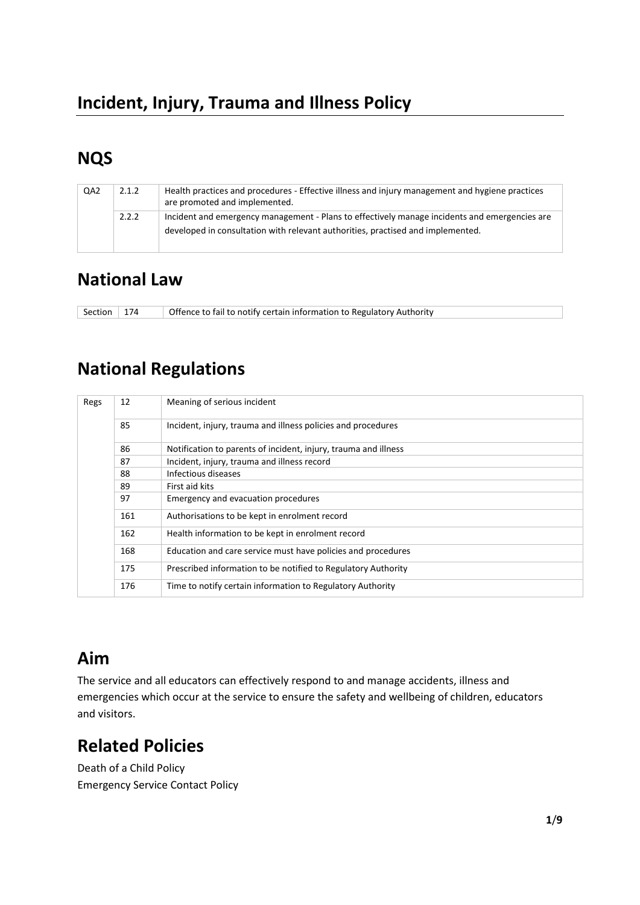# **NQS**

|  | QA <sub>2</sub> | 2.1.2 | Health practices and procedures - Effective illness and injury management and hygiene practices<br>are promoted and implemented.                                                 |
|--|-----------------|-------|----------------------------------------------------------------------------------------------------------------------------------------------------------------------------------|
|  |                 | 2.2.2 | Incident and emergency management - Plans to effectively manage incidents and emergencies are<br>developed in consultation with relevant authorities, practised and implemented. |

### **National Law**

Section 174 | Offence to fail to notify certain information to Regulatory Authority

## **National Regulations**

| Regs | 12  | Meaning of serious incident                                     |
|------|-----|-----------------------------------------------------------------|
|      | 85  | Incident, injury, trauma and illness policies and procedures    |
|      | 86  | Notification to parents of incident, injury, trauma and illness |
|      | 87  | Incident, injury, trauma and illness record                     |
|      | 88  | Infectious diseases                                             |
|      | 89  | First aid kits                                                  |
|      | 97  | Emergency and evacuation procedures                             |
|      | 161 | Authorisations to be kept in enrolment record                   |
|      | 162 | Health information to be kept in enrolment record               |
|      | 168 | Education and care service must have policies and procedures    |
|      | 175 | Prescribed information to be notified to Regulatory Authority   |
|      | 176 | Time to notify certain information to Regulatory Authority      |

### **Aim**

The service and all educators can effectively respond to and manage accidents, illness and emergencies which occur at the service to ensure the safety and wellbeing of children, educators and visitors.

### **Related Policies**

Death of a Child Policy Emergency Service Contact Policy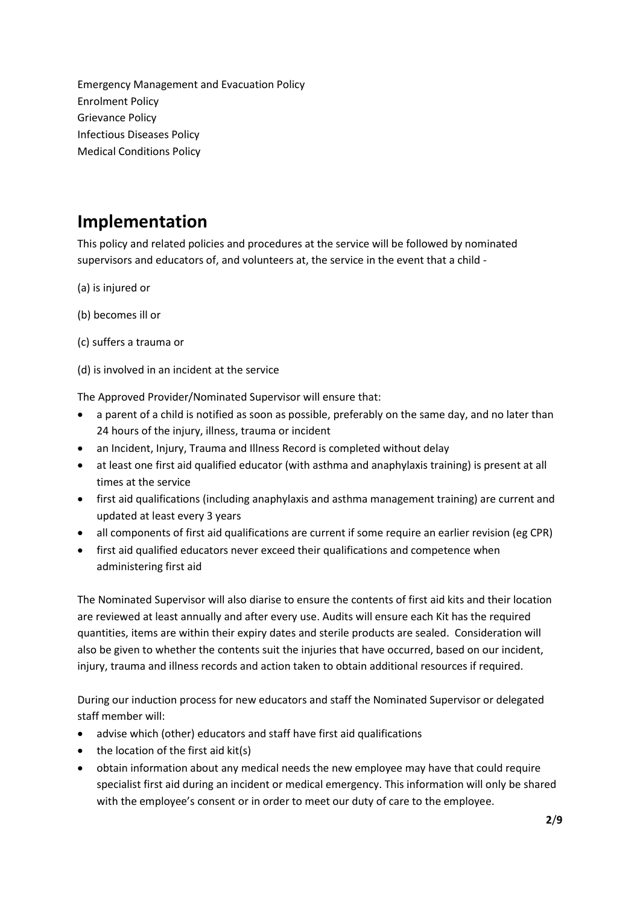Emergency Management and Evacuation Policy Enrolment Policy Grievance Policy Infectious Diseases Policy Medical Conditions Policy

### **Implementation**

This policy and related policies and procedures at the service will be followed by nominated supervisors and educators of, and volunteers at, the service in the event that a child -

- (a) is injured or
- (b) becomes ill or
- (c) suffers a trauma or
- (d) is involved in an incident at the service

The Approved Provider/Nominated Supervisor will ensure that:

- a parent of a child is notified as soon as possible, preferably on the same day, and no later than 24 hours of the injury, illness, trauma or incident
- an Incident, Injury, Trauma and Illness Record is completed without delay
- at least one first aid qualified educator (with asthma and anaphylaxis training) is present at all times at the service
- first aid qualifications (including anaphylaxis and asthma management training) are current and updated at least every 3 years
- all components of first aid qualifications are current if some require an earlier revision (eg CPR)
- first aid qualified educators never exceed their qualifications and competence when administering first aid

The Nominated Supervisor will also diarise to ensure the contents of first aid kits and their location are reviewed at least annually and after every use. Audits will ensure each Kit has the required quantities, items are within their expiry dates and sterile products are sealed. Consideration will also be given to whether the contents suit the injuries that have occurred, based on our incident, injury, trauma and illness records and action taken to obtain additional resources if required.

During our induction process for new educators and staff the Nominated Supervisor or delegated staff member will:

- advise which (other) educators and staff have first aid qualifications
- $\bullet$  the location of the first aid kit(s)
- obtain information about any medical needs the new employee may have that could require specialist first aid during an incident or medical emergency. This information will only be shared with the employee's consent or in order to meet our duty of care to the employee.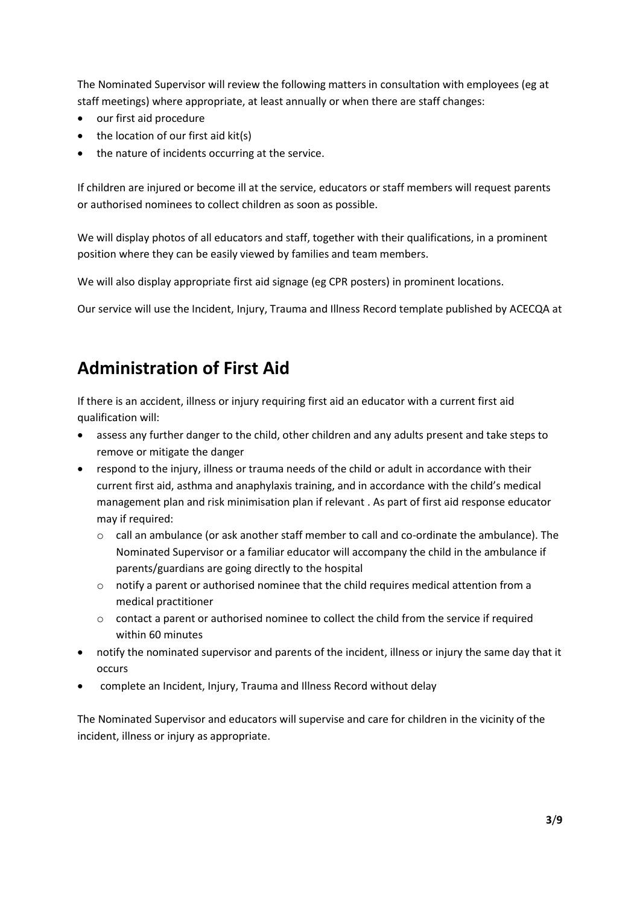The Nominated Supervisor will review the following matters in consultation with employees (eg at staff meetings) where appropriate, at least annually or when there are staff changes:

- our first aid procedure
- the location of our first aid kit(s)
- the nature of incidents occurring at the service.

If children are injured or become ill at the service, educators or staff members will request parents or authorised nominees to collect children as soon as possible.

We will display photos of all educators and staff, together with their qualifications, in a prominent position where they can be easily viewed by families and team members.

We will also display appropriate first aid signage (eg CPR posters) in prominent locations.

Our service will use the Incident, Injury, Trauma and Illness Record template published by ACECQA at

### **Administration of First Aid**

If there is an accident, illness or injury requiring first aid an educator with a current first aid qualification will:

- assess any further danger to the child, other children and any adults present and take steps to remove or mitigate the danger
- respond to the injury, illness or trauma needs of the child or adult in accordance with their current first aid, asthma and anaphylaxis training, and in accordance with the child's medical management plan and risk minimisation plan if relevant . As part of first aid response educator may if required:
	- $\circ$  call an ambulance (or ask another staff member to call and co-ordinate the ambulance). The Nominated Supervisor or a familiar educator will accompany the child in the ambulance if parents/guardians are going directly to the hospital
	- $\circ$  notify a parent or authorised nominee that the child requires medical attention from a medical practitioner
	- $\circ$  contact a parent or authorised nominee to collect the child from the service if required within 60 minutes
- notify the nominated supervisor and parents of the incident, illness or injury the same day that it occurs
- complete an Incident, Injury, Trauma and Illness Record without delay

The Nominated Supervisor and educators will supervise and care for children in the vicinity of the incident, illness or injury as appropriate.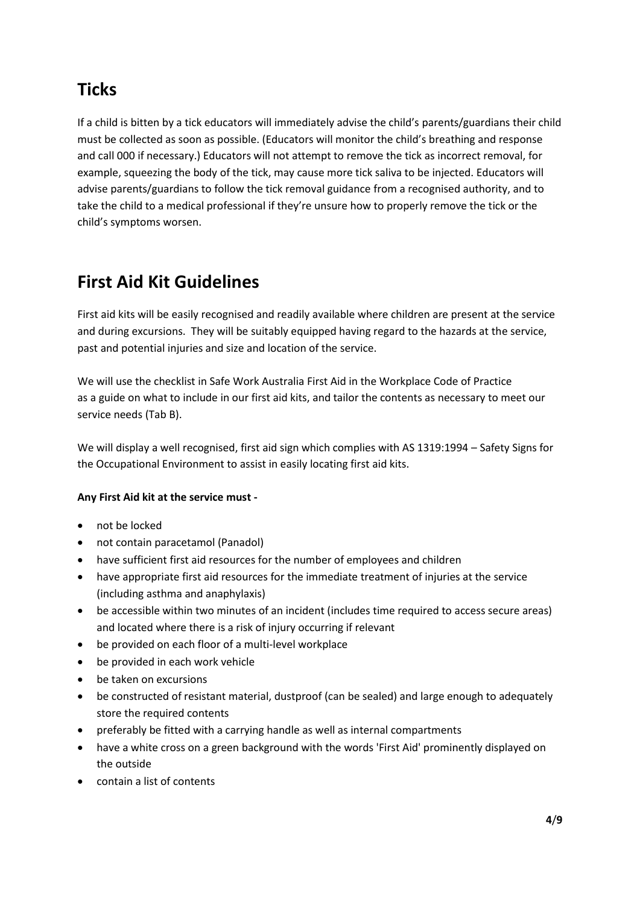## **Ticks**

If a child is bitten by a tick educators will immediately advise the child's parents/guardians their child must be collected as soon as possible. (Educators will monitor the child's breathing and response and call 000 if necessary.) Educators will not attempt to remove the tick as incorrect removal, for example, squeezing the body of the tick, may cause more tick saliva to be injected. Educators will advise parents/guardians to follow the tick removal guidance from a recognised authority, and to take the child to a medical professional if they're unsure how to properly remove the tick or the child's symptoms worsen.

## **First Aid Kit Guidelines**

First aid kits will be easily recognised and readily available where children are present at the service and during excursions. They will be suitably equipped having regard to the hazards at the service, past and potential injuries and size and location of the service.

We will use the checklist in Safe Work Australia First Aid in the Workplace Code of Practice as a guide on what to include in our first aid kits, and tailor the contents as necessary to meet our service needs (Tab B).

We will display a well recognised, first aid sign which complies with AS 1319:1994 – Safety Signs for the Occupational Environment to assist in easily locating first aid kits.

#### **Any First Aid kit at the service must -**

- not be locked
- not contain paracetamol (Panadol)
- have sufficient first aid resources for the number of employees and children
- have appropriate first aid resources for the immediate treatment of injuries at the service (including asthma and anaphylaxis)
- be accessible within two minutes of an incident (includes time required to access secure areas) and located where there is a risk of injury occurring if relevant
- be provided on each floor of a multi-level workplace
- be provided in each work vehicle
- be taken on excursions
- be constructed of resistant material, dustproof (can be sealed) and large enough to adequately store the required contents
- preferably be fitted with a carrying handle as well as internal compartments
- have a white cross on a green background with the words 'First Aid' prominently displayed on the outside
- contain a list of contents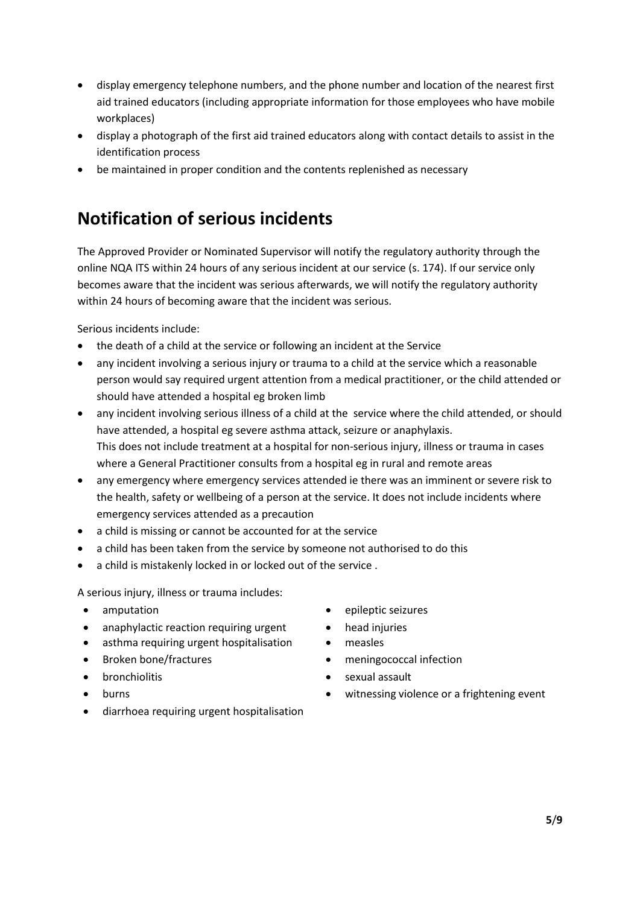- display emergency telephone numbers, and the phone number and location of the nearest first aid trained educators (including appropriate information for those employees who have mobile workplaces)
- display a photograph of the first aid trained educators along with contact details to assist in the identification process
- be maintained in proper condition and the contents replenished as necessary

### **Notification of serious incidents**

The Approved Provider or Nominated Supervisor will notify the regulatory authority through the online NQA ITS within 24 hours of any serious incident at our service (s. 174). If our service only becomes aware that the incident was serious afterwards, we will notify the regulatory authority within 24 hours of becoming aware that the incident was serious.

Serious incidents include:

- the death of a child at the service or following an incident at the Service
- any incident involving a serious injury or trauma to a child at the service which a reasonable person would say required urgent attention from a medical practitioner, or the child attended or should have attended a hospital eg broken limb
- any incident involving serious illness of a child at the service where the child attended, or should have attended, a hospital eg severe asthma attack, seizure or anaphylaxis. This does not include treatment at a hospital for non-serious injury, illness or trauma in cases where a General Practitioner consults from a hospital eg in rural and remote areas
- any emergency where emergency services attended ie there was an imminent or severe risk to the health, safety or wellbeing of a person at the service. It does not include incidents where emergency services attended as a precaution
- a child is missing or cannot be accounted for at the service
- a child has been taken from the service by someone not authorised to do this
- a child is mistakenly locked in or locked out of the service .

A serious injury, illness or trauma includes:

- 
- anaphylactic reaction requiring urgent head injuries
- asthma requiring urgent hospitalisation measles
- 
- 
- 
- diarrhoea requiring urgent hospitalisation
- amputation epileptic seizures
	-
	-
- Broken bone/fractures meningococcal infection
	- **bronchiolitis •** sexual assault
	- burns witnessing violence or a frightening event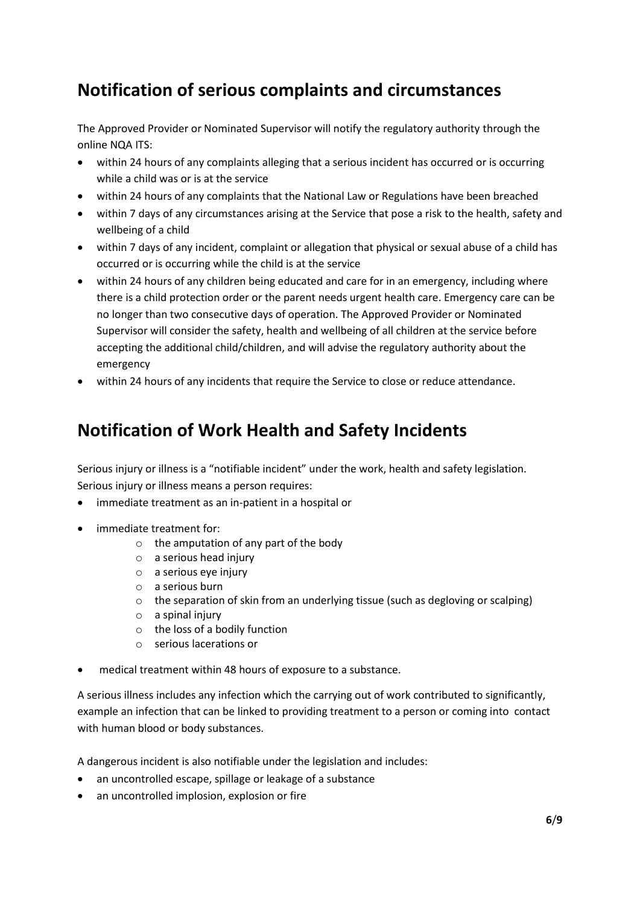### **Notification of serious complaints and circumstances**

The Approved Provider or Nominated Supervisor will notify the regulatory authority through the online NQA ITS:

- within 24 hours of any complaints alleging that a serious incident has occurred or is occurring while a child was or is at the service
- within 24 hours of any complaints that the National Law or Regulations have been breached
- within 7 days of any circumstances arising at the Service that pose a risk to the health, safety and wellbeing of a child
- within 7 days of any incident, complaint or allegation that physical or sexual abuse of a child has occurred or is occurring while the child is at the service
- within 24 hours of any children being educated and care for in an emergency, including where there is a child protection order or the parent needs urgent health care. Emergency care can be no longer than two consecutive days of operation. The Approved Provider or Nominated Supervisor will consider the safety, health and wellbeing of all children at the service before accepting the additional child/children, and will advise the regulatory authority about the emergency
- within 24 hours of any incidents that require the Service to close or reduce attendance.

## **Notification of Work Health and Safety Incidents**

Serious injury or illness is a "notifiable incident" under the work, health and safety legislation. Serious injury or illness means a person requires:

- immediate treatment as an in-patient in a hospital or
- immediate treatment for:
	- $\circ$  the amputation of any part of the body
	- $\circ$  a serious head injury
	- $\circ$  a serious eve injury
	- o a serious burn
	- $\circ$  the separation of skin from an underlying tissue (such as degloving or scalping)
	- o a spinal injury
	- o the loss of a bodily function
	- o serious lacerations or
- medical treatment within 48 hours of exposure to a substance.

A serious illness includes any infection which the carrying out of work contributed to significantly, example an infection that can be linked to providing treatment to a person or coming into contact with human blood or body substances.

A dangerous incident is also notifiable under the legislation and includes:

- an uncontrolled escape, spillage or leakage of a substance
- an uncontrolled implosion, explosion or fire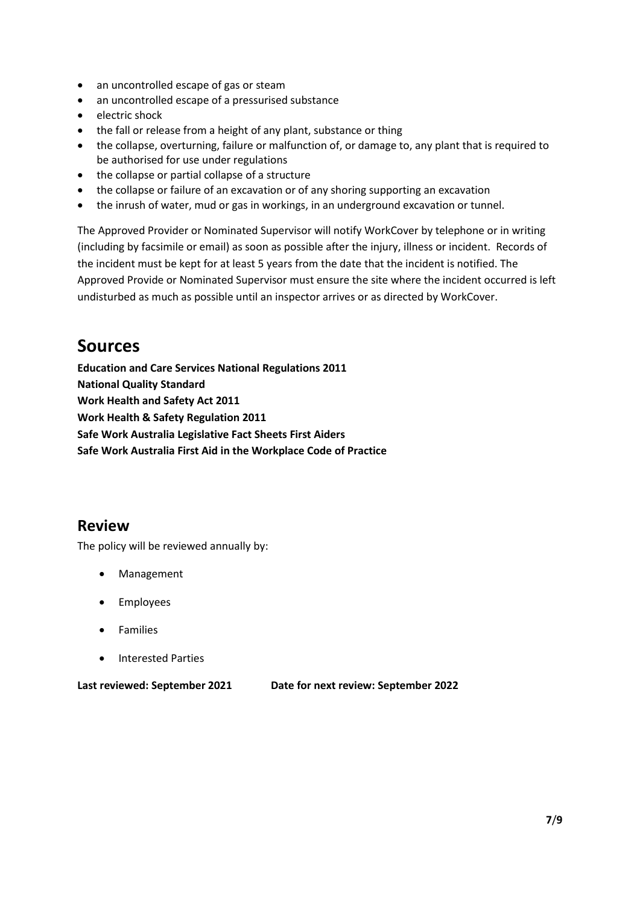- an uncontrolled escape of gas or steam
- an uncontrolled escape of a pressurised substance
- electric shock
- the fall or release from a height of any plant, substance or thing
- the collapse, overturning, failure or malfunction of, or damage to, any plant that is required to be authorised for use under regulations
- the collapse or partial collapse of a structure
- the collapse or failure of an excavation or of any shoring supporting an excavation
- the inrush of water, mud or gas in workings, in an underground excavation or tunnel.

The Approved Provider or Nominated Supervisor will notify WorkCover by telephone or in writing (including by facsimile or email) as soon as possible after the injury, illness or incident. Records of the incident must be kept for at least 5 years from the date that the incident is notified. The Approved Provide or Nominated Supervisor must ensure the site where the incident occurred is left undisturbed as much as possible until an inspector arrives or as directed by WorkCover.

### **Sources**

**Education and Care Services National Regulations 2011 National Quality Standard Work Health and Safety Act 2011 Work Health & Safety Regulation 2011 Safe Work Australia Legislative Fact Sheets First Aiders Safe Work Australia First Aid in the Workplace Code of Practice** 

#### **Review**

The policy will be reviewed annually by:

- Management
- **Employees**
- **Families**
- Interested Parties

**Last reviewed: September 2021 Date for next review: September 2022**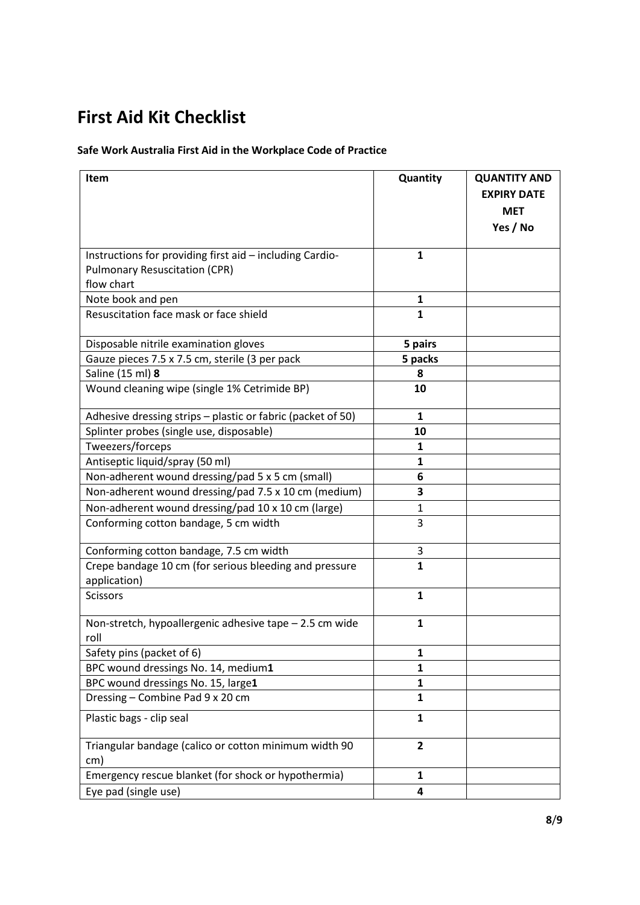# **First Aid Kit Checklist**

#### **Safe Work Australia First Aid in the Workplace Code of Practice**

| Item                                                                   | Quantity       | <b>QUANTITY AND</b>              |
|------------------------------------------------------------------------|----------------|----------------------------------|
|                                                                        |                | <b>EXPIRY DATE</b><br><b>MET</b> |
|                                                                        |                |                                  |
|                                                                        |                | Yes / No                         |
| Instructions for providing first aid - including Cardio-               | 1              |                                  |
| <b>Pulmonary Resuscitation (CPR)</b>                                   |                |                                  |
| flow chart                                                             |                |                                  |
| Note book and pen                                                      | 1              |                                  |
| Resuscitation face mask or face shield                                 | $\mathbf{1}$   |                                  |
| Disposable nitrile examination gloves                                  | 5 pairs        |                                  |
| Gauze pieces 7.5 x 7.5 cm, sterile (3 per pack                         | 5 packs        |                                  |
| Saline (15 ml) 8                                                       | 8              |                                  |
| Wound cleaning wipe (single 1% Cetrimide BP)                           | 10             |                                  |
| Adhesive dressing strips - plastic or fabric (packet of 50)            | 1              |                                  |
| Splinter probes (single use, disposable)                               | 10             |                                  |
| Tweezers/forceps                                                       | 1              |                                  |
| Antiseptic liquid/spray (50 ml)                                        | 1              |                                  |
| Non-adherent wound dressing/pad 5 x 5 cm (small)                       | 6              |                                  |
| Non-adherent wound dressing/pad 7.5 x 10 cm (medium)                   | 3              |                                  |
| Non-adherent wound dressing/pad 10 x 10 cm (large)                     | $\mathbf{1}$   |                                  |
| Conforming cotton bandage, 5 cm width                                  | 3              |                                  |
| Conforming cotton bandage, 7.5 cm width                                | 3              |                                  |
| Crepe bandage 10 cm (for serious bleeding and pressure<br>application) | $\mathbf{1}$   |                                  |
| <b>Scissors</b>                                                        | 1              |                                  |
| Non-stretch, hypoallergenic adhesive tape - 2.5 cm wide<br>roll        | 1              |                                  |
| Safety pins (packet of 6)                                              | 1              |                                  |
| BPC wound dressings No. 14, medium1                                    | 1              |                                  |
| BPC wound dressings No. 15, large1                                     | $\mathbf{1}$   |                                  |
| Dressing - Combine Pad 9 x 20 cm                                       | $\mathbf{1}$   |                                  |
| Plastic bags - clip seal                                               | 1              |                                  |
| Triangular bandage (calico or cotton minimum width 90<br>cm)           | $\overline{2}$ |                                  |
| Emergency rescue blanket (for shock or hypothermia)                    | 1              |                                  |
| Eye pad (single use)                                                   | 4              |                                  |